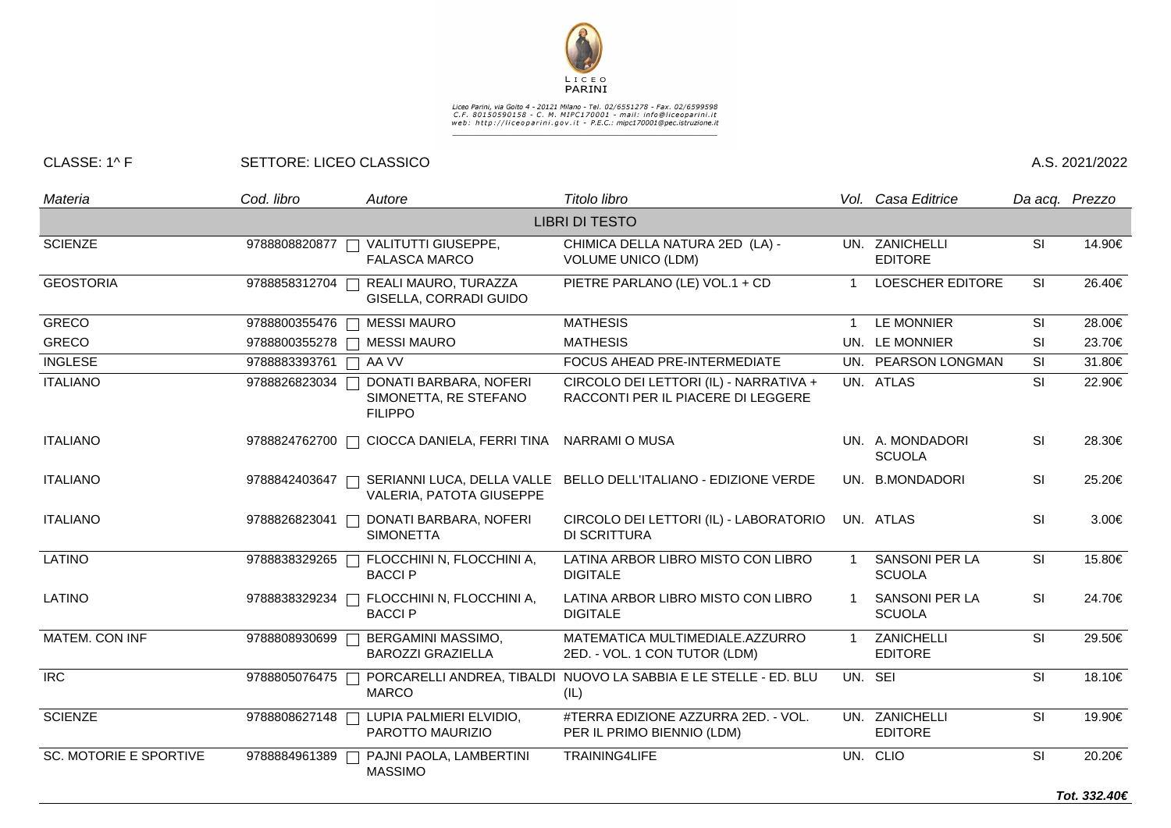

## Liceo Parini, via Goito 4 - 20121 Milano - Tel. 02/6551278 - Fax. 02/6599598<br>C.F. 80150590158 - C. M. MIPC170001 - mail: info@liceoparini.it<br>web: http://liceoparini.gov.it - P.E.C.: mipc170001@pec.istruzione.it

## CLASSE: 1^ F SETTORE: LICEO CLASSICO A.S. 2021/2022

| Materia                       | Cod. libro    | Autore                                                            | Titolo libro                                                                 |                | Vol. Casa Editrice                     |                          | Da acq. Prezzo |
|-------------------------------|---------------|-------------------------------------------------------------------|------------------------------------------------------------------------------|----------------|----------------------------------------|--------------------------|----------------|
|                               |               |                                                                   | <b>LIBRI DI TESTO</b>                                                        |                |                                        |                          |                |
| <b>SCIENZE</b>                | 9788808820877 | VALITUTTI GIUSEPPE,<br>$\Box$<br><b>FALASCA MARCO</b>             | CHIMICA DELLA NATURA 2ED (LA) -<br><b>VOLUME UNICO (LDM)</b>                 |                | UN. ZANICHELLI<br><b>EDITORE</b>       | SI                       | 14.90€         |
| <b>GEOSTORIA</b>              | 9788858312704 | REALI MAURO, TURAZZA<br>GISELLA, CORRADI GUIDO                    | PIETRE PARLANO (LE) VOL.1 + CD                                               |                | <b>LOESCHER EDITORE</b>                | SI                       | 26.40€         |
| <b>GRECO</b>                  | 9788800355476 | <b>MESSI MAURO</b>                                                | <b>MATHESIS</b>                                                              | 1              | LE MONNIER                             | SI                       | 28.00€         |
| <b>GRECO</b>                  |               | 9788800355278   MESSI MAURO                                       | <b>MATHESIS</b>                                                              |                | UN. LE MONNIER                         | SI                       | 23.70€         |
| <b>INGLESE</b>                | 9788883393761 | $\Box$ AA VV                                                      | FOCUS AHEAD PRE-INTERMEDIATE                                                 |                | UN. PEARSON LONGMAN                    | SI                       | 31.80€         |
| <b>ITALIANO</b>               | 9788826823034 | DONATI BARBARA, NOFERI<br>SIMONETTA, RE STEFANO<br><b>FILIPPO</b> | CIRCOLO DEI LETTORI (IL) - NARRATIVA +<br>RACCONTI PER IL PIACERE DI LEGGERE |                | UN. ATLAS                              | $\overline{\mathsf{SI}}$ | 22.90€         |
| <b>ITALIANO</b>               |               | 9788824762700 □ CIOCCA DANIELA, FERRI TINA                        | NARRAMI O MUSA                                                               |                | UN. A. MONDADORI<br><b>SCUOLA</b>      | SI                       | 28.30€         |
| <b>ITALIANO</b>               | 9788842403647 | VALERIA, PATOTA GIUSEPPE                                          | SERIANNI LUCA, DELLA VALLE BELLO DELL'ITALIANO - EDIZIONE VERDE              |                | UN. B.MONDADORI                        | SI                       | 25.20€         |
| <b>ITALIANO</b>               | 9788826823041 | DONATI BARBARA, NOFERI<br><b>SIMONETTA</b>                        | CIRCOLO DEI LETTORI (IL) - LABORATORIO<br><b>DI SCRITTURA</b>                |                | UN. ATLAS                              | <b>SI</b>                | 3.00€          |
| <b>LATINO</b>                 |               | 9788838329265   FLOCCHINI N, FLOCCHINI A,<br><b>BACCIP</b>        | LATINA ARBOR LIBRO MISTO CON LIBRO<br><b>DIGITALE</b>                        |                | <b>SANSONI PER LA</b><br><b>SCUOLA</b> | SI                       | 15.80€         |
| LATINO                        | 9788838329234 | FLOCCHINI N, FLOCCHINI A,<br><b>BACCIP</b>                        | LATINA ARBOR LIBRO MISTO CON LIBRO<br><b>DIGITALE</b>                        |                | <b>SANSONI PER LA</b><br><b>SCUOLA</b> | SI                       | 24.70€         |
| MATEM. CON INF                | 9788808930699 | BERGAMINI MASSIMO,<br><b>BAROZZI GRAZIELLA</b>                    | MATEMATICA MULTIMEDIALE.AZZURRO<br>2ED. - VOL. 1 CON TUTOR (LDM)             | $\overline{1}$ | ZANICHELLI<br><b>EDITORE</b>           | $\overline{\mathsf{SI}}$ | 29.50€         |
| <b>IRC</b>                    | 9788805076475 | <b>MARCO</b>                                                      | PORCARELLI ANDREA, TIBALDI NUOVO LA SABBIA E LE STELLE - ED. BLU<br>(IL)     |                | UN. SEI                                | SI                       | 18.10€         |
| <b>SCIENZE</b>                | 9788808627148 | LUPIA PALMIERI ELVIDIO,<br>PAROTTO MAURIZIO                       | #TERRA EDIZIONE AZZURRA 2ED. - VOL.<br>PER IL PRIMO BIENNIO (LDM)            |                | UN. ZANICHELLI<br><b>EDITORE</b>       | SI                       | 19.90€         |
| <b>SC. MOTORIE E SPORTIVE</b> | 9788884961389 | PAJNI PAOLA, LAMBERTINI<br><b>MASSIMO</b>                         | TRAINING4LIFE                                                                |                | UN. CLIO                               | SI                       | 20.20€         |
|                               |               |                                                                   |                                                                              |                |                                        |                          | Tot. 332.40€   |